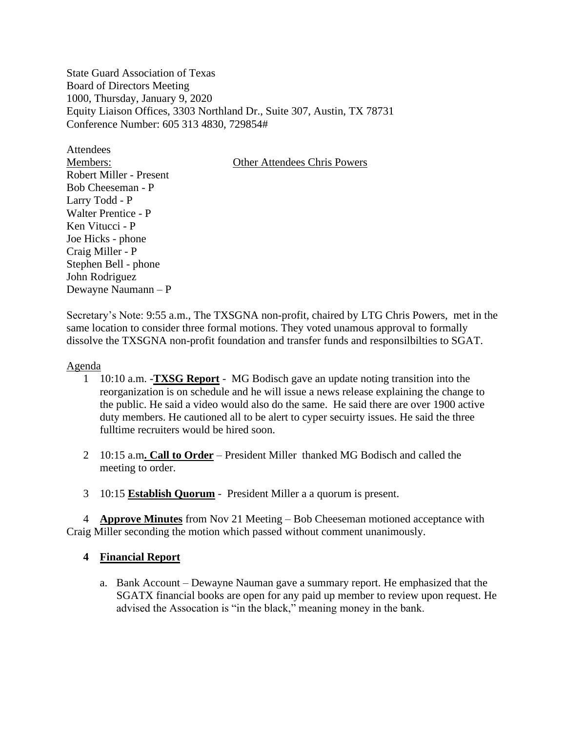State Guard Association of Texas Board of Directors Meeting 1000, Thursday, January 9, 2020 Equity Liaison Offices, 3303 Northland Dr., Suite 307, Austin, TX 78731 Conference Number: 605 313 4830, 729854#

**Attendees** Members: Other Attendees Chris Powers Robert Miller - Present Bob Cheeseman - P Larry Todd - P Walter Prentice - P Ken Vitucci - P Joe Hicks - phone Craig Miller - P Stephen Bell - phone John Rodriguez Dewayne Naumann – P

Secretary's Note: 9:55 a.m., The TXSGNA non-profit, chaired by LTG Chris Powers, met in the same location to consider three formal motions. They voted unamous approval to formally dissolve the TXSGNA non-profit foundation and transfer funds and responsilbilties to SGAT.

#### Agenda

- 1 10:10 a.m. -**TXSG Report** MG Bodisch gave an update noting transition into the reorganization is on schedule and he will issue a news release explaining the change to the public. He said a video would also do the same. He said there are over 1900 active duty members. He cautioned all to be alert to cyper secuirty issues. He said the three fulltime recruiters would be hired soon.
- 2 10:15 a.m**. Call to Order** President Miller thanked MG Bodisch and called the meeting to order.
- 3 10:15 **Establish Quorum** President Miller a a quorum is present.

 4 **Approve Minutes** from Nov 21 Meeting – Bob Cheeseman motioned acceptance with Craig Miller seconding the motion which passed without comment unanimously.

### **4 Financial Report**

a. Bank Account – Dewayne Nauman gave a summary report. He emphasized that the SGATX financial books are open for any paid up member to review upon request. He advised the Assocation is "in the black," meaning money in the bank.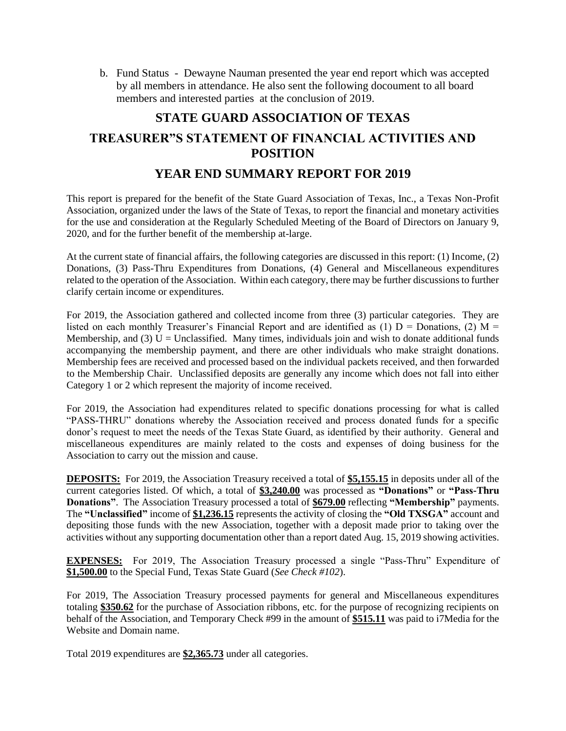b. Fund Status - Dewayne Nauman presented the year end report which was accepted by all members in attendance. He also sent the following docoument to all board members and interested parties at the conclusion of 2019.

# **STATE GUARD ASSOCIATION OF TEXAS TREASURER"S STATEMENT OF FINANCIAL ACTIVITIES AND POSITION**

## **YEAR END SUMMARY REPORT FOR 2019**

This report is prepared for the benefit of the State Guard Association of Texas, Inc., a Texas Non-Profit Association, organized under the laws of the State of Texas, to report the financial and monetary activities for the use and consideration at the Regularly Scheduled Meeting of the Board of Directors on January 9, 2020, and for the further benefit of the membership at-large.

At the current state of financial affairs, the following categories are discussed in this report: (1) Income, (2) Donations, (3) Pass-Thru Expenditures from Donations, (4) General and Miscellaneous expenditures related to the operation of the Association. Within each category, there may be further discussions to further clarify certain income or expenditures.

For 2019, the Association gathered and collected income from three (3) particular categories. They are listed on each monthly Treasurer's Financial Report and are identified as (1)  $D =$  Donations, (2)  $M =$ Membership, and (3)  $U =$  Unclassified. Many times, individuals join and wish to donate additional funds accompanying the membership payment, and there are other individuals who make straight donations. Membership fees are received and processed based on the individual packets received, and then forwarded to the Membership Chair. Unclassified deposits are generally any income which does not fall into either Category 1 or 2 which represent the majority of income received.

For 2019, the Association had expenditures related to specific donations processing for what is called "PASS-THRU" donations whereby the Association received and process donated funds for a specific donor's request to meet the needs of the Texas State Guard, as identified by their authority. General and miscellaneous expenditures are mainly related to the costs and expenses of doing business for the Association to carry out the mission and cause.

**DEPOSITS:** For 2019, the Association Treasury received a total of **\$5,155.15** in deposits under all of the current categories listed. Of which, a total of **\$3,240.00** was processed as **"Donations"** or **"Pass-Thru Donations"**. The Association Treasury processed a total of **\$679.00** reflecting **"Membership"** payments. The **"Unclassified"** income of **\$1,236.15** represents the activity of closing the **"Old TXSGA"** account and depositing those funds with the new Association, together with a deposit made prior to taking over the activities without any supporting documentation other than a report dated Aug. 15, 2019 showing activities.

**EXPENSES:** For 2019, The Association Treasury processed a single "Pass-Thru" Expenditure of **\$1,500.00** to the Special Fund, Texas State Guard (*See Check #102*).

For 2019, The Association Treasury processed payments for general and Miscellaneous expenditures totaling **\$350.62** for the purchase of Association ribbons, etc. for the purpose of recognizing recipients on behalf of the Association, and Temporary Check #99 in the amount of **\$515.11** was paid to i7Media for the Website and Domain name.

Total 2019 expenditures are **\$2,365.73** under all categories.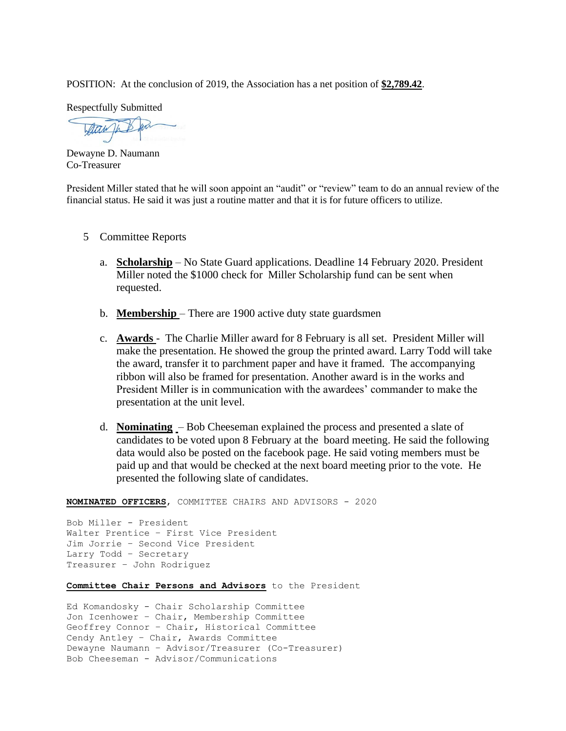POSITION: At the conclusion of 2019, the Association has a net position of **\$2,789.42**.

Respectfully Submitted

Attaw In

Dewayne D. Naumann Co-Treasurer

President Miller stated that he will soon appoint an "audit" or "review" team to do an annual review of the financial status. He said it was just a routine matter and that it is for future officers to utilize.

- 5 Committee Reports
	- a. **Scholarship** No State Guard applications. Deadline 14 February 2020. President Miller noted the \$1000 check for Miller Scholarship fund can be sent when requested.
	- b. **Membership**  There are 1900 active duty state guardsmen
	- c. **Awards**  The Charlie Miller award for 8 February is all set. President Miller will make the presentation. He showed the group the printed award. Larry Todd will take the award, transfer it to parchment paper and have it framed. The accompanying ribbon will also be framed for presentation. Another award is in the works and President Miller is in communication with the awardees' commander to make the presentation at the unit level.
	- d. **Nominating** Bob Cheeseman explained the process and presented a slate of candidates to be voted upon 8 February at the board meeting. He said the following data would also be posted on the facebook page. He said voting members must be paid up and that would be checked at the next board meeting prior to the vote. He presented the following slate of candidates.

**NOMINATED OFFICERS**, COMMITTEE CHAIRS AND ADVISORS - 2020

Bob Miller - President Walter Prentice – First Vice President Jim Jorrie – Second Vice President Larry Todd – Secretary Treasurer – John Rodriguez

**Committee Chair Persons and Advisors** to the President

Ed Komandosky - Chair Scholarship Committee Jon Icenhower – Chair, Membership Committee Geoffrey Connor – Chair, Historical Committee Cendy Antley – Chair, Awards Committee Dewayne Naumann – Advisor/Treasurer (Co-Treasurer) Bob Cheeseman - Advisor/Communications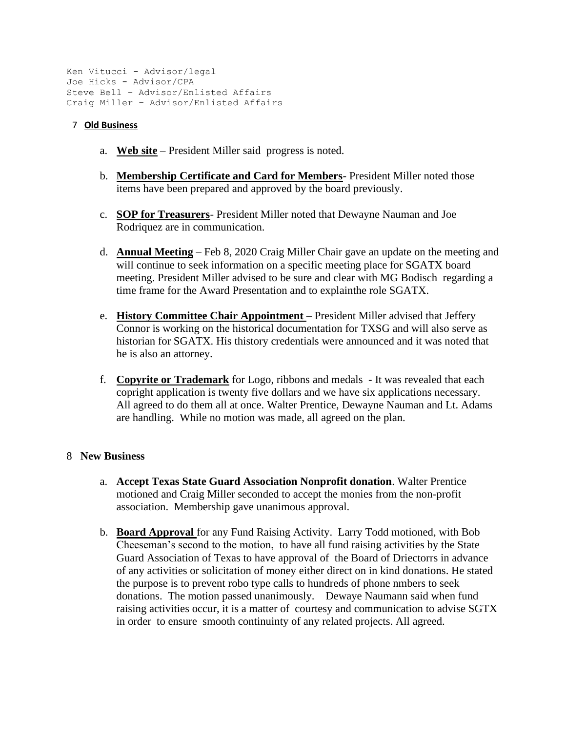```
Ken Vitucci - Advisor/legal
Joe Hicks - Advisor/CPA
Steve Bell – Advisor/Enlisted Affairs
Craig Miller – Advisor/Enlisted Affairs
```
### 7 **Old Business**

- a. **Web site** President Miller said progress is noted.
- b. **Membership Certificate and Card for Members** President Miller noted those items have been prepared and approved by the board previously.
- c. **SOP for Treasurers** President Miller noted that Dewayne Nauman and Joe Rodriquez are in communication.
- d. **Annual Meeting** Feb 8, 2020 Craig Miller Chair gave an update on the meeting and will continue to seek information on a specific meeting place for SGATX board meeting. President Miller advised to be sure and clear with MG Bodisch regarding a time frame for the Award Presentation and to explainthe role SGATX.
- e. **History Committee Chair Appointment** President Miller advised that Jeffery Connor is working on the historical documentation for TXSG and will also serve as historian for SGATX. His thistory credentials were announced and it was noted that he is also an attorney.
- f. **Copyrite or Trademark** for Logo, ribbons and medals It was revealed that each copright application is twenty five dollars and we have six applications necessary. All agreed to do them all at once. Walter Prentice, Dewayne Nauman and Lt. Adams are handling. While no motion was made, all agreed on the plan.

### 8 **New Business**

- a. **Accept Texas State Guard Association Nonprofit donation**. Walter Prentice motioned and Craig Miller seconded to accept the monies from the non-profit association. Membership gave unanimous approval.
- b. **Board Approval** for any Fund Raising Activity. Larry Todd motioned, with Bob Cheeseman's second to the motion, to have all fund raising activities by the State Guard Association of Texas to have approval of the Board of Driectorrs in advance of any activities or solicitation of money either direct on in kind donations. He stated the purpose is to prevent robo type calls to hundreds of phone nmbers to seek donations. The motion passed unanimously. Dewaye Naumann said when fund raising activities occur, it is a matter of courtesy and communication to advise SGTX in order to ensure smooth continuinty of any related projects. All agreed.